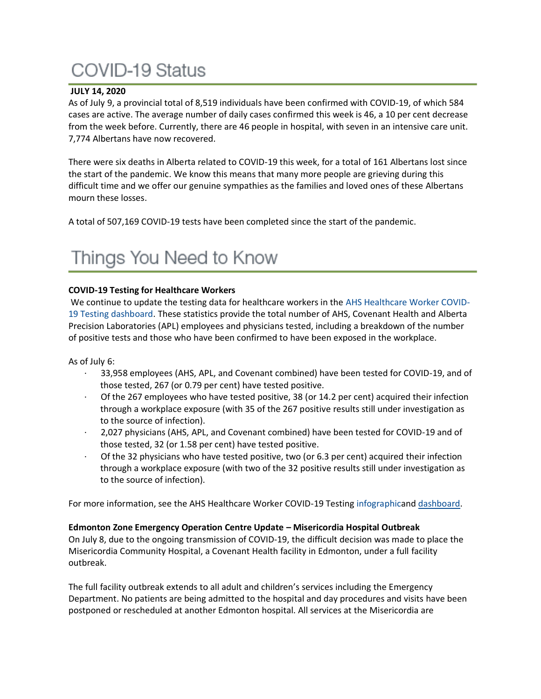# **COVID-19 Status**

### **JULY 14, 2020**

As of July 9, a provincial total of 8,519 individuals have been confirmed with COVID-19, of which 584 cases are active. The average number of daily cases confirmed this week is 46, a 10 per cent decrease from the week before. Currently, there are 46 people in hospital, with seven in an intensive care unit. 7,774 Albertans have now recovered.

There were six deaths in Alberta related to COVID-19 this week, for a total of 161 Albertans lost since the start of the pandemic. We know this means that many more people are grieving during this difficult time and we offer our genuine sympathies as the families and loved ones of these Albertans mourn these losses.

A total of 507,169 COVID-19 tests have been completed since the start of the pandemic.

# Things You Need to Know

### **COVID-19 Testing for Healthcare Workers**

We continue to update the testing data for healthcare workers in the [AHS Healthcare Worker COVID-](https://tableau.albertahealthservices.ca/#/views/AHSEmployeePhysicianCOVID-19TestSurveillanceDashboard/Introduction?:iid=1)[19 Testing dashboard.](https://tableau.albertahealthservices.ca/#/views/AHSEmployeePhysicianCOVID-19TestSurveillanceDashboard/Introduction?:iid=1) These statistics provide the total number of AHS, Covenant Health and Alberta Precision Laboratories (APL) employees and physicians tested, including a breakdown of the number of positive tests and those who have been confirmed to have been exposed in the workplace.

As of July 6:

- · 33,958 employees (AHS, APL, and Covenant combined) have been tested for COVID-19, and of those tested, 267 (or 0.79 per cent) have tested positive.
- · Of the 267 employees who have tested positive, 38 (or 14.2 per cent) acquired their infection through a workplace exposure (with 35 of the 267 positive results still under investigation as to the source of infection).
- · 2,027 physicians (AHS, APL, and Covenant combined) have been tested for COVID-19 and of those tested, 32 (or 1.58 per cent) have tested positive.
- Of the 32 physicians who have tested positive, two (or 6.3 per cent) acquired their infection through a workplace exposure (with two of the 32 positive results still under investigation as to the source of infection).

For more information, see the AHS Healthcare Worker COVID-19 Testing [infographica](https://insite.albertahealthservices.ca/main/assets/tls/ep/tls-ep-covid-19-healthcare-worker-testing-infographic.pdf)nd [dashboard.](https://tableau.albertahealthservices.ca/#/views/AHSEmployeePhysicianCOVID-19TestSurveillanceDashboard/Introduction?:iid=1)

#### **Edmonton Zone Emergency Operation Centre Update – Misericordia Hospital Outbreak**

On July 8, due to the ongoing transmission of COVID-19, the difficult decision was made to place the Misericordia Community Hospital, a Covenant Health facility in Edmonton, under a full facility outbreak.

The full facility outbreak extends to all adult and children's services including the Emergency Department. No patients are being admitted to the hospital and day procedures and visits have been postponed or rescheduled at another Edmonton hospital. All services at the Misericordia are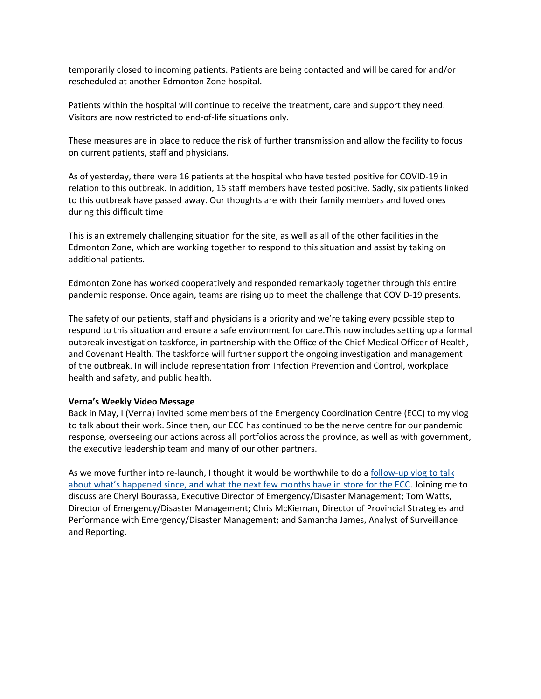temporarily closed to incoming patients. Patients are being contacted and will be cared for and/or rescheduled at another Edmonton Zone hospital.

Patients within the hospital will continue to receive the treatment, care and support they need. Visitors are now restricted to end-of-life situations only.

These measures are in place to reduce the risk of further transmission and allow the facility to focus on current patients, staff and physicians.

As of yesterday, there were 16 patients at the hospital who have tested positive for COVID-19 in relation to this outbreak. In addition, 16 staff members have tested positive. Sadly, six patients linked to this outbreak have passed away. Our thoughts are with their family members and loved ones during this difficult time

This is an extremely challenging situation for the site, as well as all of the other facilities in the Edmonton Zone, which are working together to respond to this situation and assist by taking on additional patients.

Edmonton Zone has worked cooperatively and responded remarkably together through this entire pandemic response. Once again, teams are rising up to meet the challenge that COVID-19 presents.

The safety of our patients, staff and physicians is a priority and we're taking every possible step to respond to this situation and ensure a safe environment for care.This now includes setting up a formal outbreak investigation taskforce, in partnership with the Office of the Chief Medical Officer of Health, and Covenant Health. The taskforce will further support the ongoing investigation and management of the outbreak. In will include representation from Infection Prevention and Control, workplace health and safety, and public health.

#### **Verna's Weekly Video Message**

Back in May, I (Verna) invited some members of the Emergency Coordination Centre (ECC) to my vlog to talk about their work. Since then, our ECC has continued to be the nerve centre for our pandemic response, overseeing our actions across all portfolios across the province, as well as with government, the executive leadership team and many of our other partners.

As we move further into re-launch, I thought it would be worthwhile to do a [follow-up](https://www.albertahealthservices.ca/Blogs/ceo/280.aspx) vlog to talk about what's [happened](https://www.albertahealthservices.ca/Blogs/ceo/280.aspx) since, and what the next few months have in store for the ECC. Joining me to discuss are Cheryl Bourassa, Executive Director of Emergency/Disaster Management; Tom Watts, Director of Emergency/Disaster Management; Chris McKiernan, Director of Provincial Strategies and Performance with Emergency/Disaster Management; and Samantha James, Analyst of Surveillance and Reporting.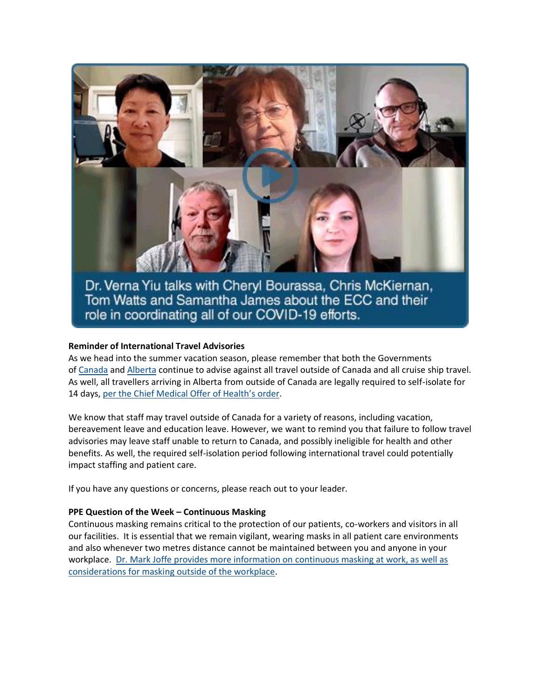

Dr. Verna Yiu talks with Cheryl Bourassa, Chris McKiernan, Tom Watts and Samantha James about the ECC and their role in coordinating all of our COVID-19 efforts.

#### **Reminder of International Travel Advisories**

As we head into the summer vacation season, please remember that both the Governments of [Canada](https://travel.gc.ca/travelling/advisories) and [Alberta](https://www.alberta.ca/covid-19-travel-advice.aspx) continue to advise against all travel outside of Canada and all cruise ship travel. As well, all travellers arriving in Alberta from outside of Canada are legally required to self-isolate for 14 days, [per the Chief Medical Offer of Health's order](https://open.alberta.ca/publications/cmoh-order-05-2020-2020-covid-19-response).

We know that staff may travel outside of Canada for a variety of reasons, including vacation, bereavement leave and education leave. However, we want to remind you that failure to follow travel advisories may leave staff unable to return to Canada, and possibly ineligible for health and other benefits. As well, the required self-isolation period following international travel could potentially impact staffing and patient care.

If you have any questions or concerns, please reach out to your leader.

#### **PPE Question of the Week – Continuous Masking**

Continuous masking remains critical to the protection of our patients, co-workers and visitors in all our facilities. It is essential that we remain vigilant, wearing masks in all patient care environments and also whenever two metres distance cannot be maintained between you and anyone in your workplace. [Dr. Mark Joffe provides more information on continuous masking at work, as well as](https://www.albertahealthservices.ca/topics/Page17119.aspx#ppedodont)  [considerations for masking outside of the workplace.](https://www.albertahealthservices.ca/topics/Page17119.aspx#ppedodont)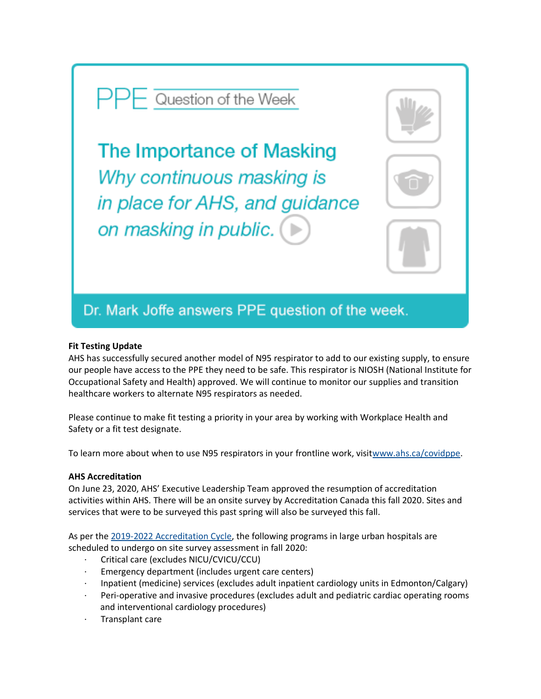# $\overline{\phantom{a}}$  Question of the Week

The Importance of Masking Why continuous masking is in place for AHS, and guidance on masking in public.



#### **Fit Testing Update**

AHS has successfully secured another model of N95 respirator to add to our existing supply, to ensure our people have access to the PPE they need to be safe. This respirator is NIOSH (National Institute for Occupational Safety and Health) approved. We will continue to monitor our supplies and transition healthcare workers to alternate N95 respirators as needed.

Please continue to make fit testing a priority in your area by working with Workplace Health and Safety or a fit test designate.

To learn more about when to use N95 respirators in your frontline work, visi[twww.ahs.ca/covidppe.](http://www.ahs.ca/covidppe)

#### **AHS Accreditation**

On June 23, 2020, AHS' Executive Leadership Team approved the resumption of accreditation activities within AHS. There will be an onsite survey by Accreditation Canada this fall 2020. Sites and services that were to be surveyed this past spring will also be surveyed this fall.

As per the [2019-2022 Accreditation Cycle,](https://insite.albertahealthservices.ca/main/assets/tms/acrd/tms-acrd-2019-2022-accreditation-cycle.pdf) the following programs in large urban hospitals are scheduled to undergo on site survey assessment in fall 2020:

- · Critical care (excludes NICU/CVICU/CCU)
- Emergency department (includes urgent care centers)
- · Inpatient (medicine) services (excludes adult inpatient cardiology units in Edmonton/Calgary)
- Peri-operative and invasive procedures (excludes adult and pediatric cardiac operating rooms and interventional cardiology procedures)
- Transplant care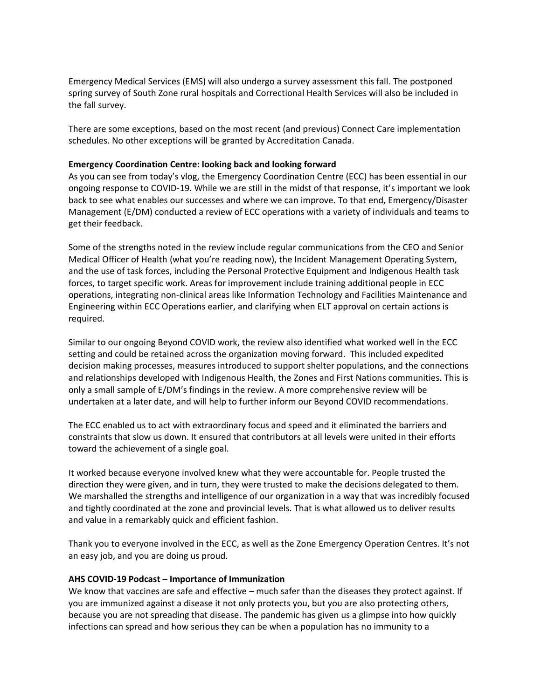Emergency Medical Services (EMS) will also undergo a survey assessment this fall. The postponed spring survey of South Zone rural hospitals and Correctional Health Services will also be included in the fall survey.

There are some exceptions, based on the most recent (and previous) Connect Care implementation schedules. No other exceptions will be granted by Accreditation Canada.

#### **Emergency Coordination Centre: looking back and looking forward**

As you can see from today's vlog, the Emergency Coordination Centre (ECC) has been essential in our ongoing response to COVID-19. While we are still in the midst of that response, it's important we look back to see what enables our successes and where we can improve. To that end, Emergency/Disaster Management (E/DM) conducted a review of ECC operations with a variety of individuals and teams to get their feedback.

Some of the strengths noted in the review include regular communications from the CEO and Senior Medical Officer of Health (what you're reading now), the Incident Management Operating System, and the use of task forces, including the Personal Protective Equipment and Indigenous Health task forces, to target specific work. Areas for improvement include training additional people in ECC operations, integrating non-clinical areas like Information Technology and Facilities Maintenance and Engineering within ECC Operations earlier, and clarifying when ELT approval on certain actions is required.

Similar to our ongoing Beyond COVID work, the review also identified what worked well in the ECC setting and could be retained across the organization moving forward. This included expedited decision making processes, measures introduced to support shelter populations, and the connections and relationships developed with Indigenous Health, the Zones and First Nations communities. This is only a small sample of E/DM's findings in the review. A more comprehensive review will be undertaken at a later date, and will help to further inform our Beyond COVID recommendations.

The ECC enabled us to act with extraordinary focus and speed and it eliminated the barriers and constraints that slow us down. It ensured that contributors at all levels were united in their efforts toward the achievement of a single goal.

It worked because everyone involved knew what they were accountable for. People trusted the direction they were given, and in turn, they were trusted to make the decisions delegated to them. We marshalled the strengths and intelligence of our organization in a way that was incredibly focused and tightly coordinated at the zone and provincial levels. That is what allowed us to deliver results and value in a remarkably quick and efficient fashion.

Thank you to everyone involved in the ECC, as well as the Zone Emergency Operation Centres. It's not an easy job, and you are doing us proud.

#### **AHS COVID-19 Podcast – Importance of Immunization**

We know that vaccines are safe and effective – much safer than the diseases they protect against. If you are immunized against a disease it not only protects you, but you are also protecting others, because you are not spreading that disease. The pandemic has given us a glimpse into how quickly infections can spread and how serious they can be when a population has no immunity to a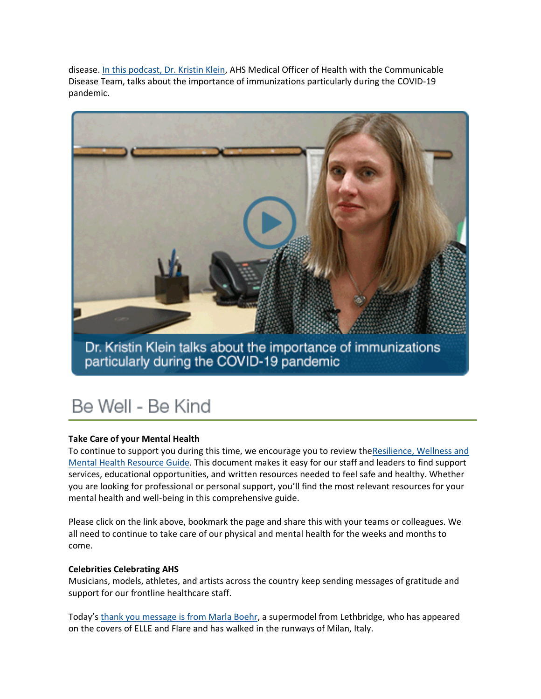disease. [In this podcast, Dr. Kristin Klein,](https://www.albertahealthservices.ca/news/Page15434.aspx) AHS Medical Officer of Health with the Communicable Disease Team, talks about the importance of immunizations particularly during the COVID-19 pandemic.



Dr. Kristin Klein talks about the importance of immunizations particularly during the COVID-19 pandemic

# Be Well - Be Kind

## **Take Care of your Mental Health**

To continue to support you during this time, we encourage you to review the Resilience, Wellness and [Mental Health Resource Guide.](https://insite.albertahealthservices.ca/main/assets/hr/tms-hr-whs-resilience-wellness-mental-health-resource-guide.pdf) This document makes it easy for our staff and leaders to find support services, educational opportunities, and written resources needed to feel safe and healthy. Whether you are looking for professional or personal support, you'll find the most relevant resources for your mental health and well-being in this comprehensive guide.

Please click on the link above, bookmark the page and share this with your teams or colleagues. We all need to continue to take care of our physical and mental health for the weeks and months to come.

#### **Celebrities Celebrating AHS**

Musicians, models, athletes, and artists across the country keep sending messages of gratitude and support for our frontline healthcare staff.

Today's [thank you message is from Marla Boehr,](https://www.youtube.com/watch?v=mmxkB9nAsW8&feature=youtu.be) a supermodel from Lethbridge, who has appeared on the covers of ELLE and Flare and has walked in the runways of Milan, Italy.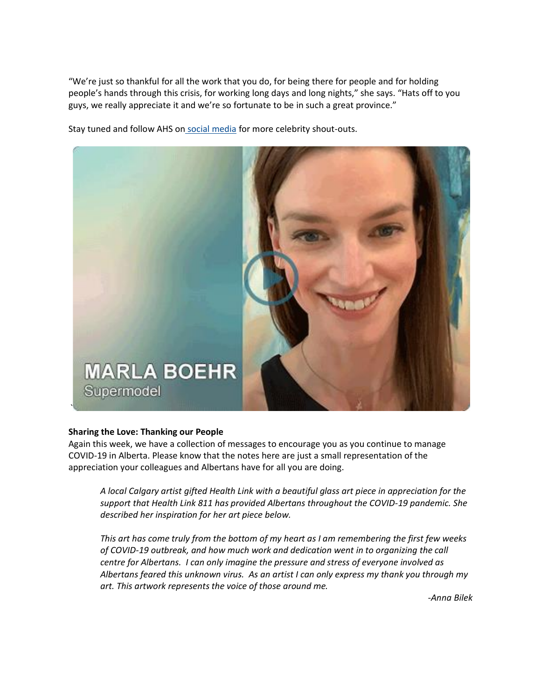"We're just so thankful for all the work that you do, for being there for people and for holding people's hands through this crisis, for working long days and long nights," she says. "Hats off to you guys, we really appreciate it and we're so fortunate to be in such a great province."

Stay tuned and follow AHS on social [media](https://www.instagram.com/albertahealthservices/) for more celebrity shout-outs.



#### **Sharing the Love: Thanking our People**

Again this week, we have a collection of messages to encourage you as you continue to manage COVID-19 in Alberta. Please know that the notes here are just a small representation of the appreciation your colleagues and Albertans have for all you are doing.

*A local Calgary artist gifted Health Link with a beautiful glass art piece in appreciation for the support that Health Link 811 has provided Albertans throughout the COVID-19 pandemic. She described her inspiration for her art piece below.*

*This art has come truly from the bottom of my heart as I am remembering the first few weeks of COVID-19 outbreak, and how much work and dedication went in to organizing the call centre for Albertans. I can only imagine the pressure and stress of everyone involved as Albertans feared this unknown virus. As an artist I can only express my thank you through my art. This artwork represents the voice of those around me.*

*-Anna Bilek*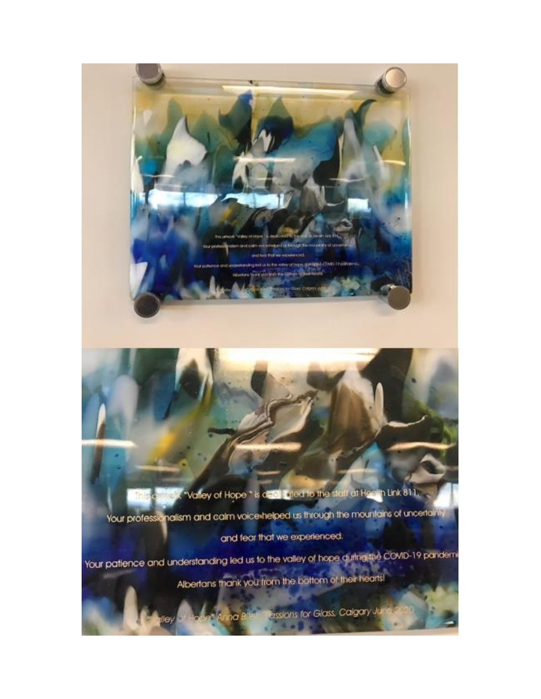X "Valley of Hope " is deal Tyled to the stall at Hoolth Link 811. Your professionalism and calm voice helped us through the mountains of uncertainly and fear that we experienced.

Your patience and understanding led us to the valley of hope during the COVID-19 pandemi Albertans thank you from the bottom of their hearts!

Anna B

**Essions for Glass, Calgary Jul** 

**CALIFORNIA COMO ITOO**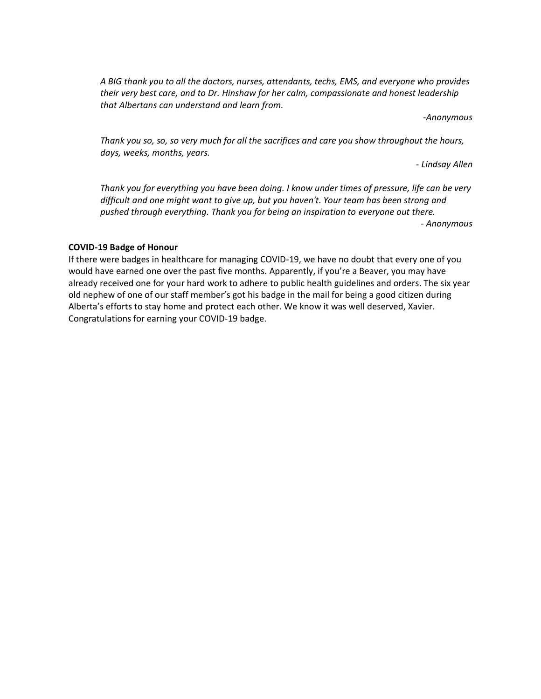*A BIG thank you to all the doctors, nurses, attendants, techs, EMS, and everyone who provides their very best care, and to Dr. Hinshaw for her calm, compassionate and honest leadership that Albertans can understand and learn from.*

*-Anonymous*

*Thank you so, so, so very much for all the sacrifices and care you show throughout the hours, days, weeks, months, years.*

*- Lindsay Allen*

*Thank you for everything you have been doing. I know under times of pressure, life can be very difficult and one might want to give up, but you haven't. Your team has been strong and pushed through everything. Thank you for being an inspiration to everyone out there.*

*- Anonymous*

#### **COVID-19 Badge of Honour**

If there were badges in healthcare for managing COVID-19, we have no doubt that every one of you would have earned one over the past five months. Apparently, if you're a Beaver, you may have already received one for your hard work to adhere to public health guidelines and orders. The six year old nephew of one of our staff member's got his badge in the mail for being a good citizen during Alberta's efforts to stay home and protect each other. We know it was well deserved, Xavier. Congratulations for earning your COVID-19 badge.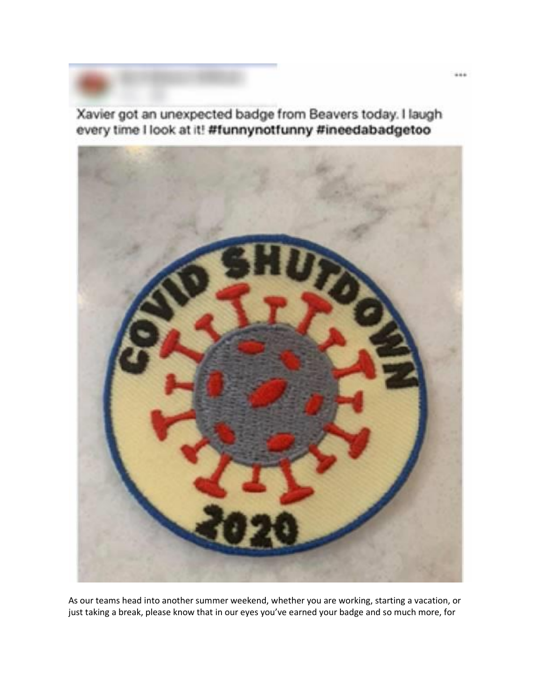Xavier got an unexpected badge from Beavers today. I laugh every time I look at it! #funnynotfunny #ineedabadgetoo



As our teams head into another summer weekend, whether you are working, starting a vacation, or just taking a break, please know that in our eyes you've earned your badge and so much more, for